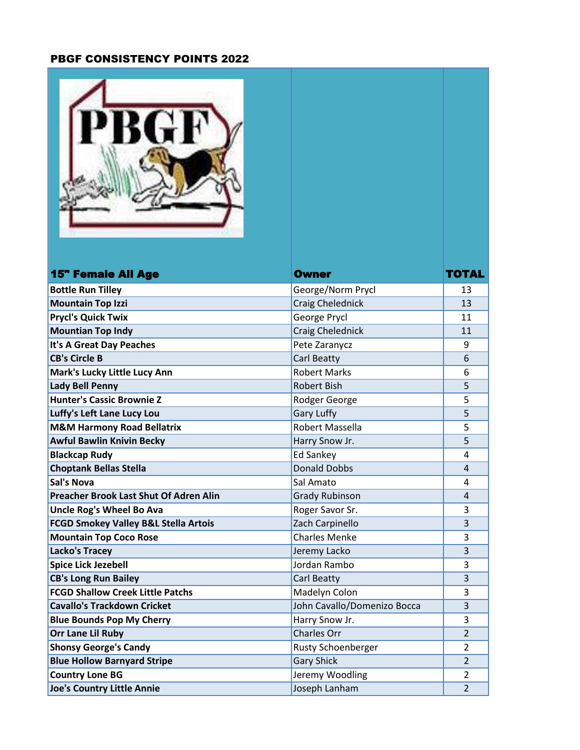## PBGF CONSISTENCY POINTS 2022

| <b>15" Female All Age</b>                                          | <b>Owner</b>                       | TOTAL          |
|--------------------------------------------------------------------|------------------------------------|----------------|
| <b>Bottle Run Tilley</b>                                           | George/Norm Prycl                  | 13             |
| <b>Mountain Top Izzi</b>                                           | <b>Craig Chelednick</b>            | 13             |
| <b>Prycl's Quick Twix</b>                                          | George Prycl                       | 11             |
| <b>Mountian Top Indy</b>                                           | <b>Craig Chelednick</b>            | 11             |
| It's A Great Day Peaches                                           | Pete Zaranycz                      | 9              |
| <b>CB's Circle B</b>                                               | Carl Beatty                        | 6              |
| Mark's Lucky Little Lucy Ann                                       | <b>Robert Marks</b>                | 6              |
| <b>Lady Bell Penny</b>                                             | <b>Robert Bish</b>                 | 5              |
| <b>Hunter's Cassic Brownie Z</b>                                   | Rodger George                      | 5              |
| Luffy's Left Lane Lucy Lou                                         | <b>Gary Luffy</b>                  | 5              |
| <b>M&amp;M Harmony Road Bellatrix</b>                              | Robert Massella                    | 5              |
| <b>Awful Bawlin Knivin Becky</b>                                   | Harry Snow Jr.                     | 5              |
| <b>Blackcap Rudy</b>                                               | Ed Sankey                          | 4              |
| <b>Choptank Bellas Stella</b>                                      | <b>Donald Dobbs</b>                | 4              |
| <b>Sal's Nova</b><br><b>Preacher Brook Last Shut Of Adren Alin</b> | Sal Amato                          | 4              |
| <b>Uncle Rog's Wheel Bo Ava</b>                                    | <b>Grady Rubinson</b>              | 4<br>3         |
| <b>FCGD Smokey Valley B&amp;L Stella Artois</b>                    | Roger Savor Sr.<br>Zach Carpinello |                |
| <b>Mountain Top Coco Rose</b>                                      | <b>Charles Menke</b>               | 3<br>3         |
| Lacko's Tracey                                                     | Jeremy Lacko                       | 3              |
| <b>Spice Lick Jezebell</b>                                         | Jordan Rambo                       | 3              |
| <b>CB's Long Run Bailey</b>                                        | Carl Beatty                        | 3              |
| <b>FCGD Shallow Creek Little Patchs</b>                            | Madelyn Colon                      | 3              |
| <b>Cavallo's Trackdown Cricket</b>                                 | John Cavallo/Domenizo Bocca        | 3              |
| <b>Blue Bounds Pop My Cherry</b>                                   | Harry Snow Jr.                     | 3              |
| <b>Orr Lane Lil Ruby</b>                                           | Charles Orr                        | $\overline{2}$ |
| <b>Shonsy George's Candy</b>                                       | <b>Rusty Schoenberger</b>          | $\overline{2}$ |
| <b>Blue Hollow Barnyard Stripe</b>                                 | <b>Gary Shick</b>                  | $\overline{2}$ |
| <b>Country Lone BG</b>                                             | Jeremy Woodling                    | $\overline{2}$ |

**Joe's Country Little Annie Country Little Annie Joseph Lanham 2**